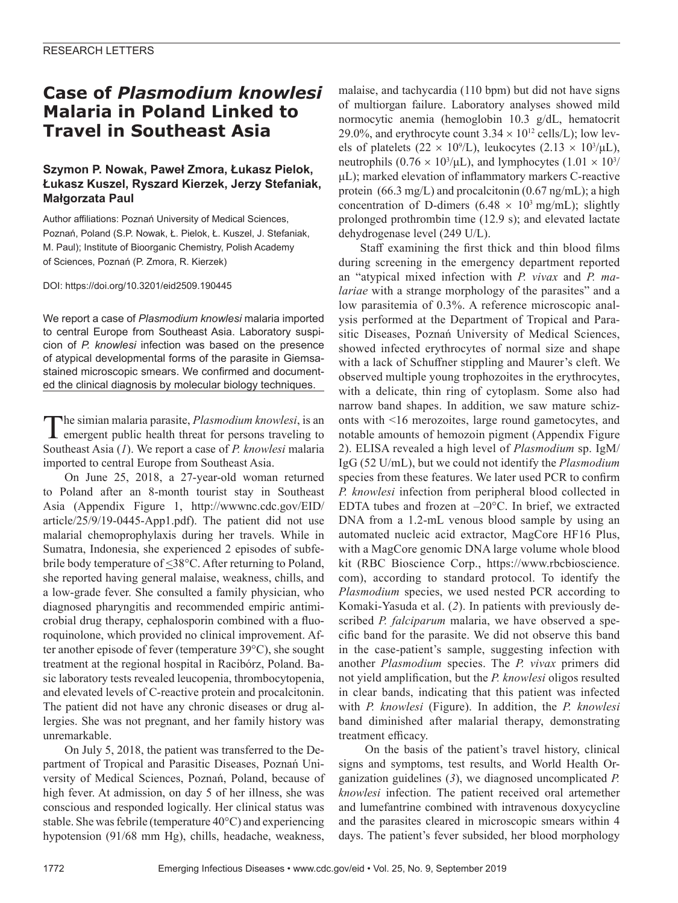## **Case of** *Plasmodium knowlesi*  **Malaria in Poland Linked to Travel in Southeast Asia**

### **Szymon P. Nowak, Paweł Zmora, Łukasz Pielok, Łukasz Kuszel, Ryszard Kierzek, Jerzy Stefaniak, Małgorzata Paul**

Author affiliations: Poznań University of Medical Sciences, Poznań, Poland (S.P. Nowak, Ł. Pielok, Ł. Kuszel, J. Stefaniak, M. Paul); Institute of Bioorganic Chemistry, Polish Academy of Sciences, Poznań (P. Zmora, R. Kierzek)

DOI: https://doi.org/10.3201/eid2509.190445

We report a case of *Plasmodium knowlesi* malaria imported to central Europe from Southeast Asia. Laboratory suspicion of *P. knowlesi* infection was based on the presence of atypical developmental forms of the parasite in Giemsastained microscopic smears. We confirmed and documented the clinical diagnosis by molecular biology techniques.

The simian malaria parasite, *Plasmodium knowlesi*, is an emergent public health threat for persons traveling to Southeast Asia (*1*). We report a case of *P. knowlesi* malaria imported to central Europe from Southeast Asia.

On June 25, 2018, a 27-year-old woman returned to Poland after an 8-month tourist stay in Southeast Asia (Appendix Figure 1, http://wwwnc.cdc.gov/EID/ article/25/9/19-0445-App1.pdf). The patient did not use malarial chemoprophylaxis during her travels. While in Sumatra, Indonesia, she experienced 2 episodes of subfebrile body temperature of <38°C. After returning to Poland, she reported having general malaise, weakness, chills, and a low-grade fever. She consulted a family physician, who diagnosed pharyngitis and recommended empiric antimicrobial drug therapy, cephalosporin combined with a fluoroquinolone, which provided no clinical improvement. After another episode of fever (temperature 39°C), she sought treatment at the regional hospital in Racibórz, Poland. Basic laboratory tests revealed leucopenia, thrombocytopenia, and elevated levels of C-reactive protein and procalcitonin. The patient did not have any chronic diseases or drug allergies. She was not pregnant, and her family history was unremarkable.

On July 5, 2018, the patient was transferred to the Department of Tropical and Parasitic Diseases, Poznań University of Medical Sciences, Poznań, Poland, because of high fever. At admission, on day 5 of her illness, she was conscious and responded logically. Her clinical status was stable. She was febrile (temperature 40°C) and experiencing hypotension (91/68 mm Hg), chills, headache, weakness,

malaise, and tachycardia (110 bpm) but did not have signs of multiorgan failure. Laboratory analyses showed mild normocytic anemia (hemoglobin 10.3 g/dL, hematocrit 29.0%, and erythrocyte count  $3.34 \times 10^{12}$  cells/L); low levels of platelets ( $22 \times 10^9$ /L), leukocytes ( $2.13 \times 10^3$ /µL), neutrophils  $(0.76 \times 10^3/\mu L)$ , and lymphocytes  $(1.01 \times 10^3/\mu L)$ μL); marked elevation of inflammatory markers C-reactive protein (66.3 mg/L) and procalcitonin (0.67 ng/mL); a high concentration of D-dimers (6.48  $\times$  10<sup>3</sup> mg/mL); slightly prolonged prothrombin time (12.9 s); and elevated lactate dehydrogenase level (249 U/L).

Staff examining the first thick and thin blood films during screening in the emergency department reported an "atypical mixed infection with *P. vivax* and *P. malariae* with a strange morphology of the parasites" and a low parasitemia of 0.3%. A reference microscopic analysis performed at the Department of Tropical and Parasitic Diseases, Poznań University of Medical Sciences, showed infected erythrocytes of normal size and shape with a lack of Schuffner stippling and Maurer's cleft. We observed multiple young trophozoites in the erythrocytes, with a delicate, thin ring of cytoplasm. Some also had narrow band shapes. In addition, we saw mature schizonts with <16 merozoites, large round gametocytes, and notable amounts of hemozoin pigment (Appendix Figure 2). ELISA revealed a high level of *Plasmodium* sp. IgM/ IgG (52 U/mL), but we could not identify the *Plasmodium* species from these features. We later used PCR to confirm *P. knowlesi* infection from peripheral blood collected in EDTA tubes and frozen at –20°C. In brief, we extracted DNA from a 1.2-mL venous blood sample by using an automated nucleic acid extractor, MagCore HF16 Plus, with a MagCore genomic DNA large volume whole blood kit (RBC Bioscience Corp., https://www.rbcbioscience. com), according to standard protocol. To identify the *Plasmodium* species, we used nested PCR according to Komaki-Yasuda et al. (*2*). In patients with previously described *P. falciparum* malaria, we have observed a specific band for the parasite. We did not observe this band in the case-patient's sample, suggesting infection with another *Plasmodium* species. The *P. vivax* primers did not yield amplification, but the *P. knowlesi* oligos resulted in clear bands, indicating that this patient was infected with *P. knowlesi* (Figure). In addition, the *P. knowlesi* band diminished after malarial therapy, demonstrating treatment efficacy.

 On the basis of the patient's travel history, clinical signs and symptoms, test results, and World Health Organization guidelines (*3*), we diagnosed uncomplicated *P. knowlesi* infection. The patient received oral artemether and lumefantrine combined with intravenous doxycycline and the parasites cleared in microscopic smears within 4 days. The patient's fever subsided, her blood morphology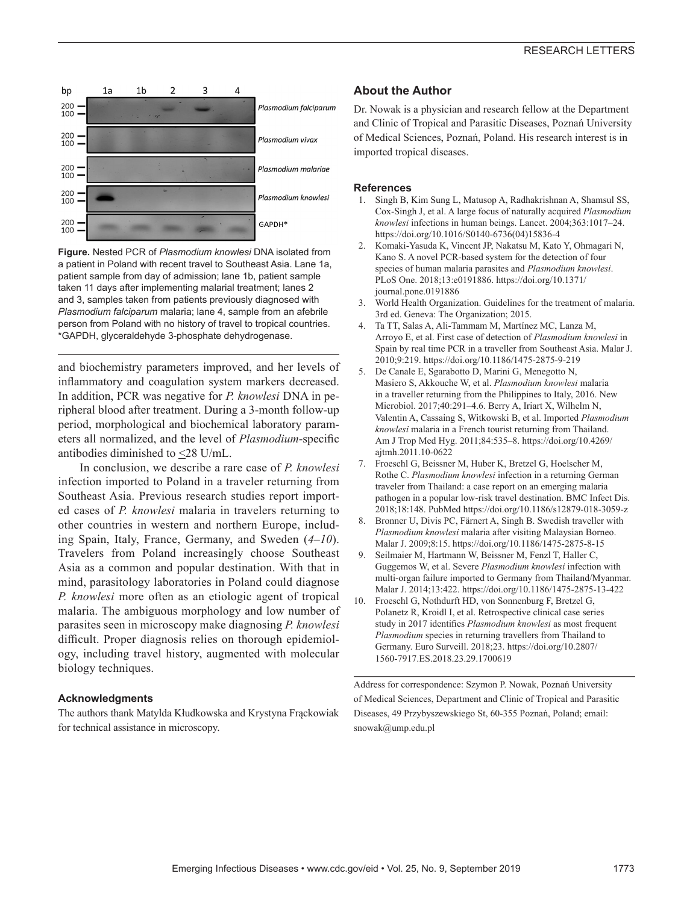

**Figure.** Nested PCR of *Plasmodium knowlesi* DNA isolated from a patient in Poland with recent travel to Southeast Asia. Lane 1a, patient sample from day of admission; lane 1b, patient sample taken 11 days after implementing malarial treatment; lanes 2 and 3, samples taken from patients previously diagnosed with *Plasmodium falciparum* malaria; lane 4, sample from an afebrile person from Poland with no history of travel to tropical countries. \*GAPDH, glyceraldehyde 3-phosphate dehydrogenase.

and biochemistry parameters improved, and her levels of inflammatory and coagulation system markers decreased. In addition, PCR was negative for *P. knowlesi* DNA in peripheral blood after treatment. During a 3-month follow-up period, morphological and biochemical laboratory parameters all normalized, and the level of *Plasmodium*-specific antibodies diminished to <28 U/mL.

In conclusion, we describe a rare case of *P. knowlesi* infection imported to Poland in a traveler returning from Southeast Asia. Previous research studies report imported cases of *P. knowlesi* malaria in travelers returning to other countries in western and northern Europe, including Spain, Italy, France, Germany, and Sweden (*4*–*10*). Travelers from Poland increasingly choose Southeast Asia as a common and popular destination. With that in mind, parasitology laboratories in Poland could diagnose *P. knowlesi* more often as an etiologic agent of tropical malaria. The ambiguous morphology and low number of parasites seen in microscopy make diagnosing *P. knowlesi* difficult. Proper diagnosis relies on thorough epidemiology, including travel history, augmented with molecular biology techniques.

#### **Acknowledgments**

The authors thank Matylda Kłudkowska and Krystyna Frąckowiak for technical assistance in microscopy.

#### **About the Author**

Dr. Nowak is a physician and research fellow at the Department and Clinic of Tropical and Parasitic Diseases, Poznań University of Medical Sciences, Poznań, Poland. His research interest is in imported tropical diseases.

#### **References**

- 1. Singh B, Kim Sung L, Matusop A, Radhakrishnan A, Shamsul SS, Cox-Singh J, et al. A large focus of naturally acquired *Plasmodium knowlesi* infections in human beings. Lancet. 2004;363:1017–24. https://doi.org/10.1016/S0140-6736(04)15836-4
- 2. Komaki-Yasuda K, Vincent JP, Nakatsu M, Kato Y, Ohmagari N, Kano S. A novel PCR-based system for the detection of four species of human malaria parasites and *Plasmodium knowlesi*. PLoS One. 2018;13:e0191886. https://doi.org/10.1371/ journal.pone.0191886
- 3. World Health Organization. Guidelines for the treatment of malaria. 3rd ed. Geneva: The Organization; 2015.
- 4. Ta TT, Salas A, Ali-Tammam M, Martínez MC, Lanza M, Arroyo E, et al. First case of detection of *Plasmodium knowlesi* in Spain by real time PCR in a traveller from Southeast Asia. Malar J. 2010;9:219. https://doi.org/10.1186/1475-2875-9-219
- 5. De Canale E, Sgarabotto D, Marini G, Menegotto N, Masiero S, Akkouche W, et al. *Plasmodium knowlesi* malaria in a traveller returning from the Philippines to Italy, 2016. New Microbiol. 2017;40:291–4.6. Berry A, Iriart X, Wilhelm N, Valentin A, Cassaing S, Witkowski B, et al. Imported *Plasmodium knowlesi* malaria in a French tourist returning from Thailand. Am J Trop Med Hyg. 2011;84:535–8. https://doi.org/10.4269/ ajtmh.2011.10-0622
- 7. Froeschl G, Beissner M, Huber K, Bretzel G, Hoelscher M, Rothe C. *Plasmodium knowlesi* infection in a returning German traveler from Thailand: a case report on an emerging malaria pathogen in a popular low-risk travel destination. BMC Infect Dis. 2018;18:148. PubMed https://doi.org/10.1186/s12879-018-3059-z
- 8. Bronner U, Divis PC, Färnert A, Singh B. Swedish traveller with *Plasmodium knowlesi* malaria after visiting Malaysian Borneo. Malar J. 2009;8:15. https://doi.org/10.1186/1475-2875-8-15
- 9. Seilmaier M, Hartmann W, Beissner M, Fenzl T, Haller C, Guggemos W, et al. Severe *Plasmodium knowlesi* infection with multi-organ failure imported to Germany from Thailand/Myanmar. Malar J. 2014;13:422. https://doi.org/10.1186/1475-2875-13-422
- 10. Froeschl G, Nothdurft HD, von Sonnenburg F, Bretzel G, Polanetz R, Kroidl I, et al. Retrospective clinical case series study in 2017 identifies *Plasmodium knowlesi* as most frequent *Plasmodium* species in returning travellers from Thailand to Germany. Euro Surveill. 2018;23. https://doi.org/10.2807/ 1560-7917.ES.2018.23.29.1700619

Address for correspondence: Szymon P. Nowak, Poznań University of Medical Sciences, Department and Clinic of Tropical and Parasitic Diseases, 49 Przybyszewskiego St, 60-355 Poznań, Poland; email: snowak@ump.edu.pl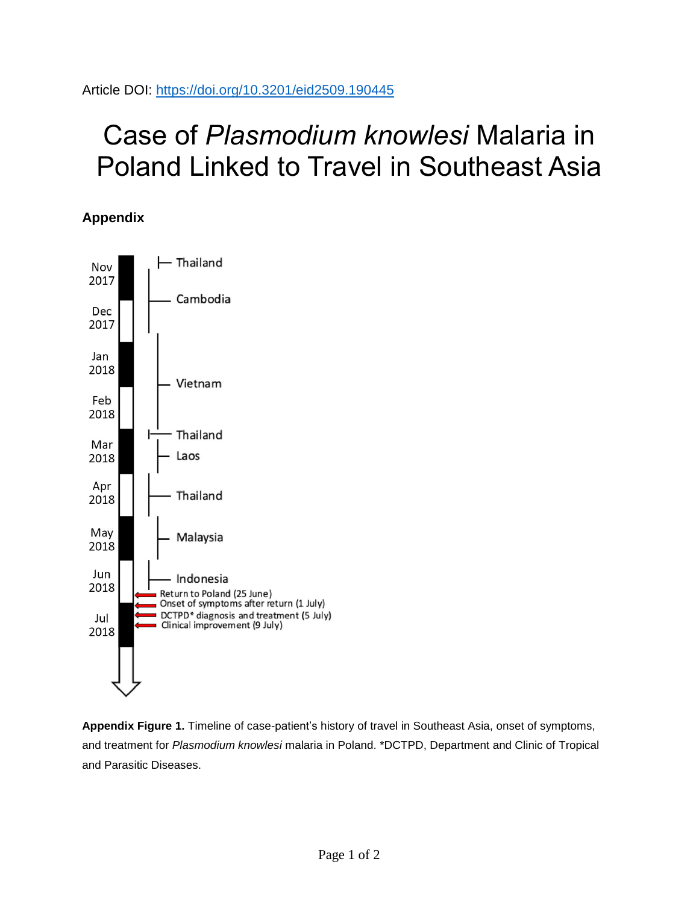# Case of *Plasmodium knowlesi* Malaria in Poland Linked to Travel in Southeast Asia

## **Appendix**



**Appendix Figure 1.** Timeline of case-patient's history of travel in Southeast Asia, onset of symptoms, and treatment for *Plasmodium knowlesi* malaria in Poland. \*DCTPD, Department and Clinic of Tropical and Parasitic Diseases.